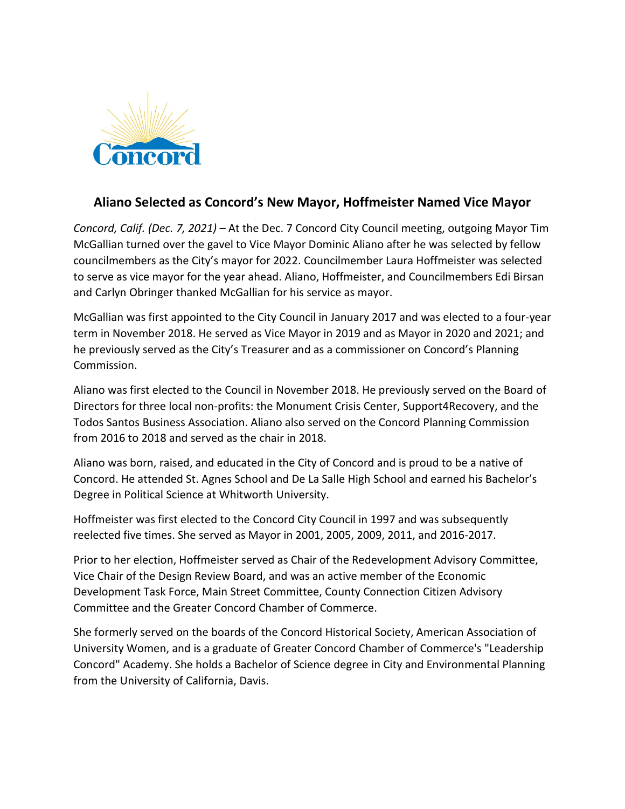

## **Aliano Selected as Concord's New Mayor, Hoffmeister Named Vice Mayor**

*Concord, Calif. (Dec. 7, 2021)* – At the Dec. 7 Concord City Council meeting, outgoing Mayor Tim McGallian turned over the gavel to Vice Mayor Dominic Aliano after he was selected by fellow councilmembers as the City's mayor for 2022. Councilmember Laura Hoffmeister was selected to serve as vice mayor for the year ahead. Aliano, Hoffmeister, and Councilmembers Edi Birsan and Carlyn Obringer thanked McGallian for his service as mayor.

McGallian was first appointed to the City Council in January 2017 and was elected to a four-year term in November 2018. He served as Vice Mayor in 2019 and as Mayor in 2020 and 2021; and he previously served as the City's Treasurer and as a commissioner on Concord's Planning Commission.

Aliano was first elected to the Council in November 2018. He previously served on the Board of Directors for three local non-profits: the Monument Crisis Center, Support4Recovery, and the Todos Santos Business Association. Aliano also served on the Concord Planning Commission from 2016 to 2018 and served as the chair in 2018.

Aliano was born, raised, and educated in the City of Concord and is proud to be a native of Concord. He attended St. Agnes School and De La Salle High School and earned his Bachelor's Degree in Political Science at Whitworth University.

Hoffmeister was first elected to the Concord City Council in 1997 and was subsequently reelected five times. She served as Mayor in 2001, 2005, 2009, 2011, and 2016-2017.

Prior to her election, Hoffmeister served as Chair of the Redevelopment Advisory Committee, Vice Chair of the Design Review Board, and was an active member of the Economic Development Task Force, Main Street Committee, County Connection Citizen Advisory Committee and the Greater Concord Chamber of Commerce.

She formerly served on the boards of the Concord Historical Society, American Association of University Women, and is a graduate of Greater Concord Chamber of Commerce's "Leadership Concord" Academy. She holds a Bachelor of Science degree in City and Environmental Planning from the University of California, Davis.